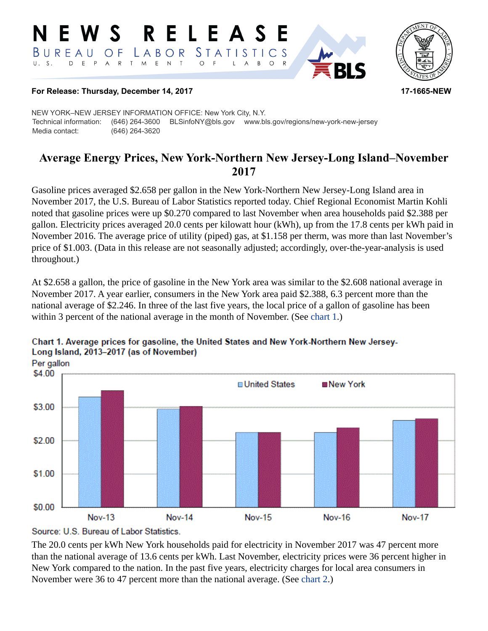#### RELEASE E W S *STATISTICS* LABOR BUREAU  $O F$ D E P A R T M E N T  $\circ$  $\mathsf{L}$  $\overline{A}$  $B$  $\circ$



#### **For Release: Thursday, December 14, 2017 17-1665-NEW**

NEW YORK–NEW JERSEY INFORMATION OFFICE: New York City, N.Y. Technical information: (646) 264-3600 BLSinfoNY@bls.gov www.bls.gov/regions/new-york-new-jersey Media contact: (646) 264-3620

# **Average Energy Prices, New York-Northern New Jersey-Long Island–November 2017**

Gasoline prices averaged \$2.658 per gallon in the New York-Northern New Jersey-Long Island area in November 2017, the U.S. Bureau of Labor Statistics reported today. Chief Regional Economist Martin Kohli noted that gasoline prices were up \$0.270 compared to last November when area households paid \$2.388 per gallon. Electricity prices averaged 20.0 cents per kilowatt hour (kWh), up from the 17.8 cents per kWh paid in November 2016. The average price of utility (piped) gas, at \$1.158 per therm, was more than last November's price of \$1.003. (Data in this release are not seasonally adjusted; accordingly, over-the-year-analysis is used throughout.)

At \$2.658 a gallon, the price of gasoline in the New York area was similar to the \$2.608 national average in November 2017. A year earlier, consumers in the New York area paid \$2.388, 6.3 percent more than the national average of \$2.246. In three of the last five years, the local price of a gallon of gasoline has been within 3 percent of the national average in the month of November. (See [chart 1.](#page-0-0))



#### <span id="page-0-0"></span>Chart 1. Average prices for gasoline, the United States and New York-Northern New Jersey-Long Island, 2013-2017 (as of November)

The 20.0 cents per kWh New York households paid for electricity in November 2017 was 47 percent more than the national average of 13.6 cents per kWh. Last November, electricity prices were 36 percent higher in New York compared to the nation. In the past five years, electricity charges for local area consumers in November were 36 to 47 percent more than the national average. (See [chart 2](#page-1-0).)

Source: U.S. Bureau of Labor Statistics.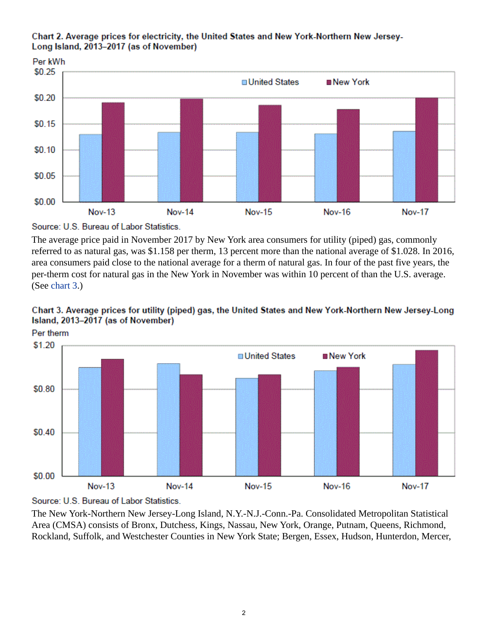

#### <span id="page-1-0"></span>Chart 2. Average prices for electricity, the United States and New York-Northern New Jersey-Long Island, 2013-2017 (as of November)

Source: U.S. Bureau of Labor Statistics.

The average price paid in November 2017 by New York area consumers for utility (piped) gas, commonly referred to as natural gas, was \$1.158 per therm, 13 percent more than the national average of \$1.028. In 2016, area consumers paid close to the national average for a therm of natural gas. In four of the past five years, the per-therm cost for natural gas in the New York in November was within 10 percent of than the U.S. average. (See [chart 3.](#page-1-1))

<span id="page-1-1"></span>





The New York-Northern New Jersey-Long Island, N.Y.-N.J.-Conn.-Pa. Consolidated Metropolitan Statistical Area (CMSA) consists of Bronx, Dutchess, Kings, Nassau, New York, Orange, Putnam, Queens, Richmond, Rockland, Suffolk, and Westchester Counties in New York State; Bergen, Essex, Hudson, Hunterdon, Mercer,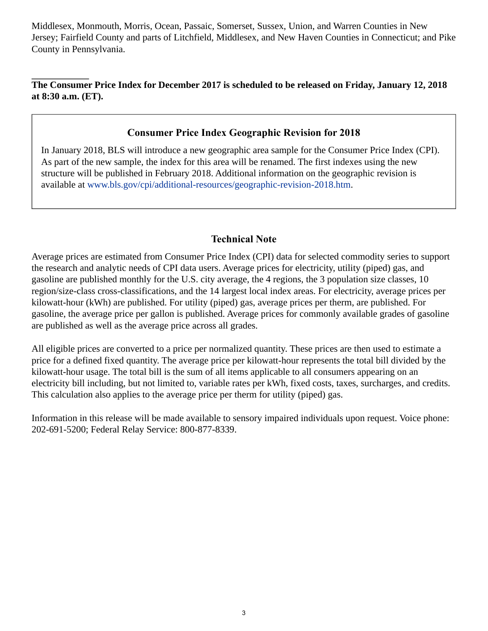Middlesex, Monmouth, Morris, Ocean, Passaic, Somerset, Sussex, Union, and Warren Counties in New Jersey; Fairfield County and parts of Litchfield, Middlesex, and New Haven Counties in Connecticut; and Pike County in Pennsylvania.

### **The Consumer Price Index for December 2017 is scheduled to be released on Friday, January 12, 2018 at 8:30 a.m. (ET).**

## **Consumer Price Index Geographic Revision for 2018**

In January 2018, BLS will introduce a new geographic area sample for the Consumer Price Index (CPI). As part of the new sample, the index for this area will be renamed. The first indexes using the new structure will be published in February 2018. Additional information on the geographic revision is available at [www.bls.gov/cpi/additional-resources/geographic-revision-2018.htm](https://www.bls.gov/cpi/additional-resources/geographic-revision-2018.htm).

## **Technical Note**

Average prices are estimated from Consumer Price Index (CPI) data for selected commodity series to support the research and analytic needs of CPI data users. Average prices for electricity, utility (piped) gas, and gasoline are published monthly for the U.S. city average, the 4 regions, the 3 population size classes, 10 region/size-class cross-classifications, and the 14 largest local index areas. For electricity, average prices per kilowatt-hour (kWh) are published. For utility (piped) gas, average prices per therm, are published. For gasoline, the average price per gallon is published. Average prices for commonly available grades of gasoline are published as well as the average price across all grades.

All eligible prices are converted to a price per normalized quantity. These prices are then used to estimate a price for a defined fixed quantity. The average price per kilowatt-hour represents the total bill divided by the kilowatt-hour usage. The total bill is the sum of all items applicable to all consumers appearing on an electricity bill including, but not limited to, variable rates per kWh, fixed costs, taxes, surcharges, and credits. This calculation also applies to the average price per therm for utility (piped) gas.

Information in this release will be made available to sensory impaired individuals upon request. Voice phone: 202-691-5200; Federal Relay Service: 800-877-8339.